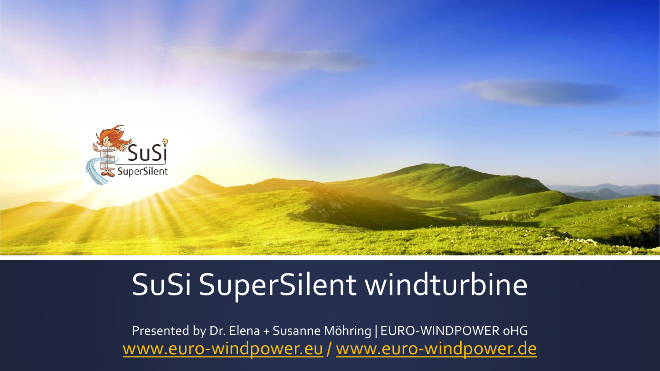

# SuSi SuperSilent windturbine

Presented by Dr. Elena + Susanne Möhring | EURO-WINDPOWER oHG [www.euro-windpower.eu](http://www.euro-windpower.eu/) / [www.euro-windpower.de](http://www.euro-windpower.de/)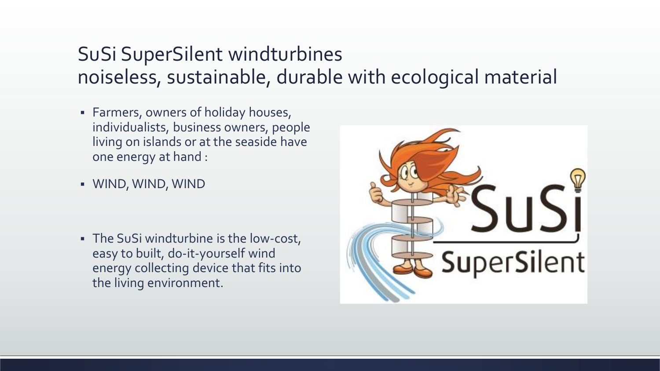#### SuSi SuperSilent windturbines noiseless, sustainable, durable with ecological material

- **EXECUTE:** Farmers, owners of holiday houses, individualists, business owners, people living on islands or at the seaside have one energy at hand :
- WIND, WIND, WIND

▪ The SuSi windturbine is the low-cost, easy to built, do-it-yourself wind energy collecting device that fits into the living environment.

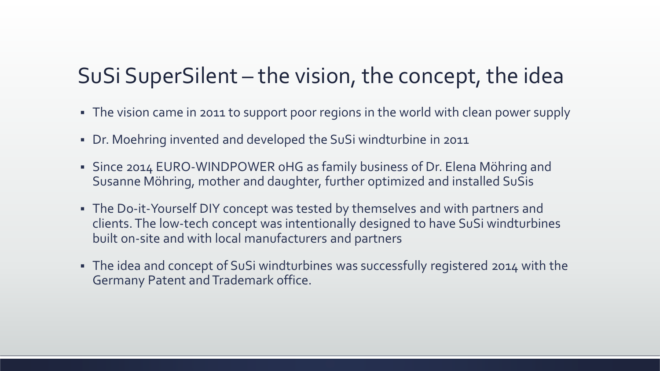# SuSi SuperSilent – the vision, the concept, the idea

- The vision came in 2011 to support poor regions in the world with clean power supply
- Dr. Moehring invented and developed the SuSi windturbine in 2011
- **EX18 III Since 2014 EURO-WINDPOWER oHG as family business of Dr. Elena Möhring and** Susanne Möhring, mother and daughter, further optimized and installed SuSis
- **.** The Do-it-Yourself DIY concept was tested by themselves and with partners and clients. The low-tech concept was intentionally designed to have SuSi windturbines built on-site and with local manufacturers and partners
- The idea and concept of SuSi windturbines was successfully registered 2014 with the Germany Patent and Trademark office.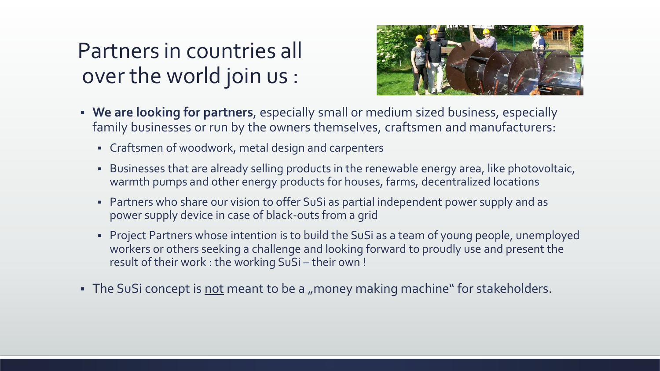# Partners in countries all over the world join us :



- **We are looking for partners**, especially small or medium sized business, especially family businesses or run by the owners themselves, craftsmen and manufacturers:
	- Craftsmen of woodwork, metal design and carpenters
	- **.** Businesses that are already selling products in the renewable energy area, like photovoltaic, warmth pumps and other energy products for houses, farms, decentralized locations
	- Partners who share our vision to offer SuSi as partial independent power supply and as power supply device in case of black-outs from a grid
	- **•** Project Partners whose intention is to build the SuSi as a team of young people, unemployed workers or others seeking a challenge and looking forward to proudly use and present the result of their work : the working SuSi – their own !
- **The SuSi concept is not meant to be a "money making machine" for stakeholders.**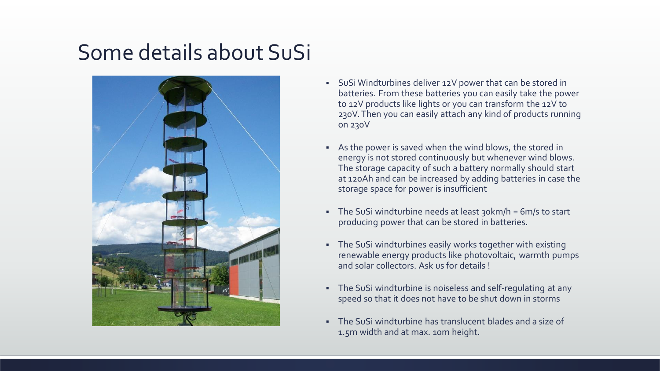# Some details about SuSi



- SuSi Windturbines deliver 12V power that can be stored in batteries. From these batteries you can easily take the power to 12V products like lights or you can transform the 12V to 230V. Then you can easily attach any kind of products running on 230V
- As the power is saved when the wind blows, the stored in energy is not stored continuously but whenever wind blows. The storage capacity of such a battery normally should start at 120Ah and can be increased by adding batteries in case the storage space for power is insufficient
- The SuSi windturbine needs at least 30km/h = 6m/s to start producing power that can be stored in batteries.
- **•** The SuSi windturbines easily works together with existing renewable energy products like photovoltaic, warmth pumps and solar collectors. Ask us for details !
- **•** The SuSi windturbine is noiseless and self-regulating at any speed so that it does not have to be shut down in storms
- The SuSi windturbine has translucent blades and a size of 1.5m width and at max. 10m height.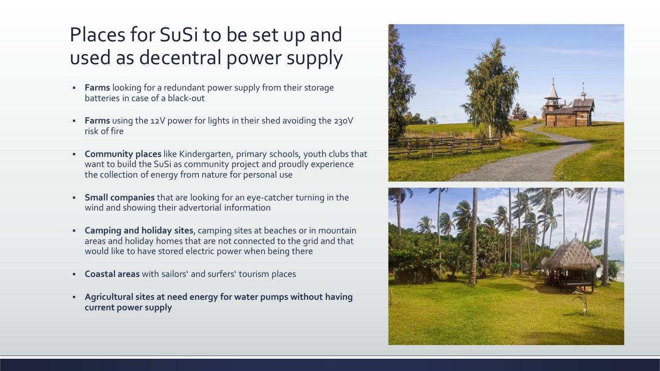### Places for SuSi to be set up and used as decentral power supply

- **Earms** looking for a redundant power supply from their storage batteries in case of a black-out
- **Farms** using the 12V power for lights in their shed avoiding the 230V risk of fire
- **Community places** like Kindergarten, primary schools, youth clubs that want to build the SuSi as community project and proudly experience the collection of energy from nature for personal use
- **EXECT:** Small companies that are looking for an eye-catcher turning in the wind and showing their advertorial information
- **Camping and holiday sites, camping sites at beaches or in mountain** areas and holiday homes that are not connected to the grid and that would like to have stored electric power when being there
- **Coastal areas** with sailors' and surfers' tourism places
- **Agricultural sites at need energy for water pumps without having current power supply**



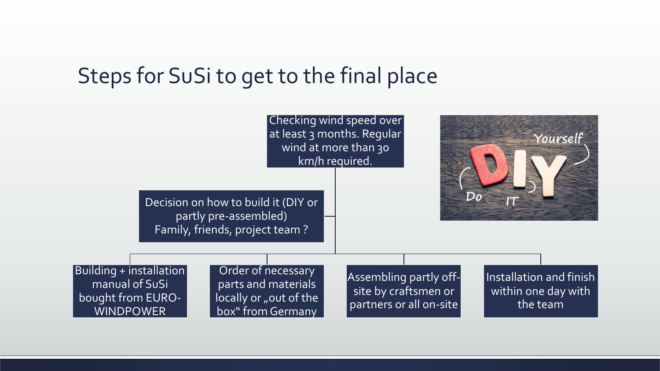#### Steps for SuSi to get to the final place

Checking wind speed over at least 3 months. Regular wind at more than 30 km/h required.



Decision on how to build it (DIY or partly pre-assembled) Family, friends, project team ?

Building + installation manual of SuSi bought from EURO-WINDPOWER

Order of necessary parts and materials locally or "out of the box" from Germany

Assembling partly offsite by craftsmen or partners or all on-site Installation and finish within one day with the team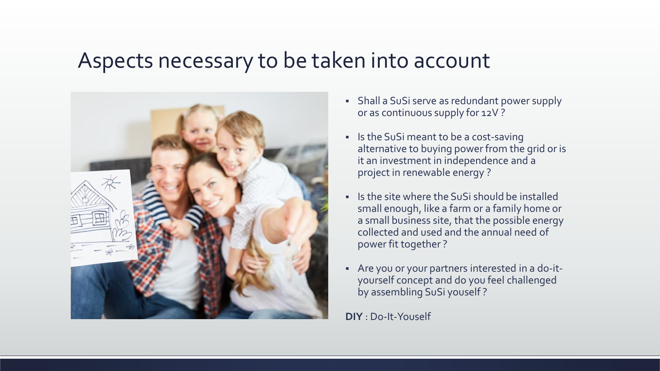#### Aspects necessary to be taken into account



- Shall a SuSi serve as redundant power supply or as continuous supply for 12V ?
- Is the SuSi meant to be a cost-saving alternative to buying power from the grid or is it an investment in independence and a project in renewable energy ?
- Is the site where the SuSi should be installed small enough, like a farm or a family home or a small business site, that the possible energy collected and used and the annual need of power fit together ?
- Are you or your partners interested in a do-ityourself concept and do you feel challenged by assembling SuSi youself ?

**DIY** : Do-It-Youself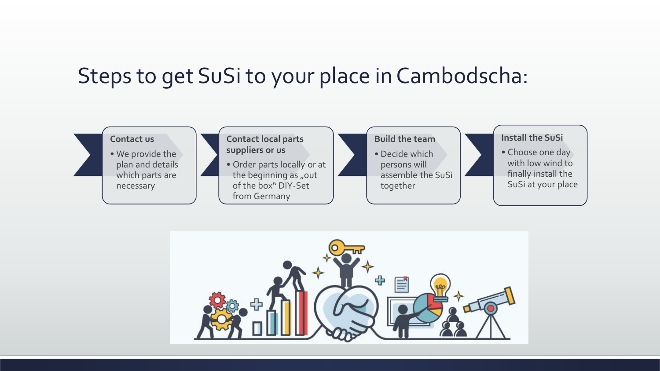### Steps to get SuSi to your place in Cambodscha: